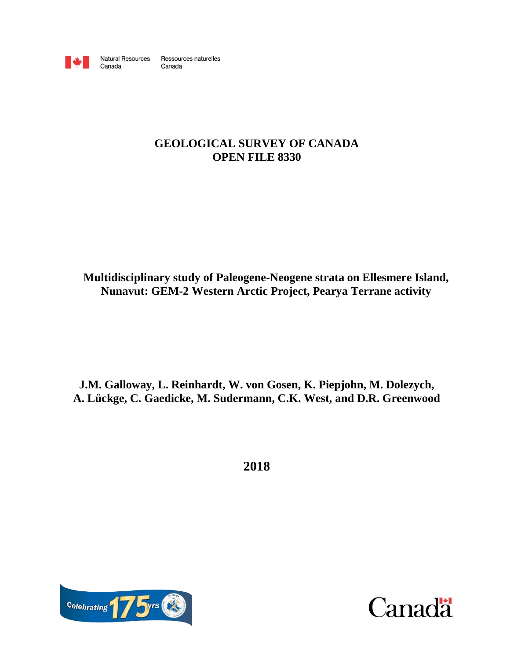

Canada

Ressources naturelles **Natural Resources** Canada

# **GEOLOGICAL SURVEY OF CANADA OPEN FILE 8330**

**Multidisciplinary study of Paleogene-Neogene strata on Ellesmere Island, Nunavut: GEM-2 Western Arctic Project, Pearya Terrane activity** 

**J.M. Galloway, L. Reinhardt, W. von Gosen, K. Piepjohn, M. Dolezych, A. Lückge, C. Gaedicke, M. Sudermann, C.K. West, and D.R. Greenwood**

**2018**



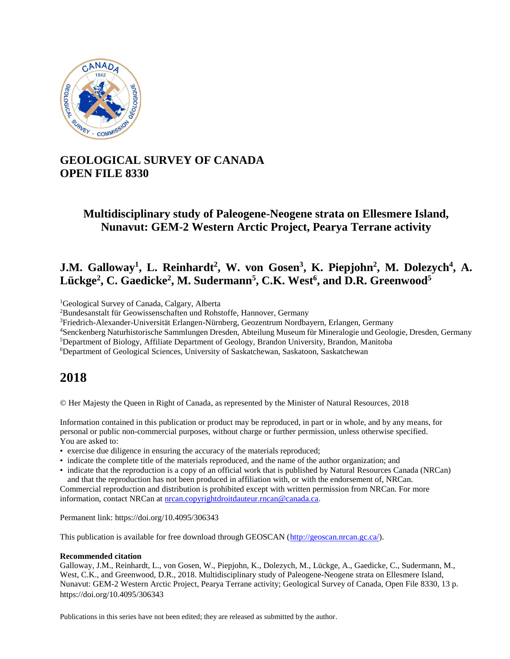

# **GEOLOGICAL SURVEY OF CANADA OPEN FILE 8330**

# **Multidisciplinary study of Paleogene-Neogene strata on Ellesmere Island, Nunavut: GEM-2 Western Arctic Project, Pearya Terrane activity**

# **J.M. Galloway<sup>1</sup> , L. Reinhardt<sup>2</sup> , W. von Gosen<sup>3</sup> , K. Piepjohn<sup>2</sup> , M. Dolezych<sup>4</sup> , A. Lückge<sup>2</sup> , C. Gaedicke<sup>2</sup> , M. Sudermann<sup>5</sup> , C.K. West<sup>6</sup> , and D.R. Greenwood<sup>5</sup>**

<sup>1</sup>Geological Survey of Canada, Calgary, Alberta

<sup>4</sup>Senckenberg Naturhistorische Sammlungen Dresden, Abteilung Museum für Mineralogie und Geologie, Dresden, Germany

<sup>5</sup>Department of Biology, Affiliate Department of Geology, Brandon University, Brandon, Manitoba

<sup>6</sup>Department of Geological Sciences, University of Saskatchewan, Saskatoon, Saskatchewan

# **2018**

© Her Majesty the Queen in Right of Canada, as represented by the Minister of Natural Resources, 2018

Information contained in this publication or product may be reproduced, in part or in whole, and by any means, for personal or public non-commercial purposes, without charge or further permission, unless otherwise specified. You are asked to:

- exercise due diligence in ensuring the accuracy of the materials reproduced;
- indicate the complete title of the materials reproduced, and the name of the author organization; and
- indicate that the reproduction is a copy of an official work that is published by Natural Resources Canada (NRCan) and that the reproduction has not been produced in affiliation with, or with the endorsement of, NRCan.

Commercial reproduction and distribution is prohibited except with written permission from NRCan. For more information, contact NRCan at [nrcan.copyrightdroitdauteur.rncan@canada.ca.](mailto:nrcan.copyrightdroitdauteur.rncan@canada.ca)

Permanent link: https://doi.org/10.4095/306343

This publication is available for free download through GEOSCAN [\(http://geoscan.nrcan.gc.ca/\)](http://geoscan.nrcan.gc.ca/).

#### **Recommended citation**

Galloway, J.M., Reinhardt, L., von Gosen, W., Piepjohn, K., Dolezych, M., Lückge, A., Gaedicke, C., Sudermann, M., West, C.K., and Greenwood, D.R., 2018. Multidisciplinary study of Paleogene-Neogene strata on Ellesmere Island, Nunavut: GEM-2 Western Arctic Project, Pearya Terrane activity; Geological Survey of Canada, Open File 8330, 13 p. https://doi.org/10.4095/306343

Publications in this series have not been edited; they are released as submitted by the author.

<sup>2</sup>Bundesanstalt für Geowissenschaften und Rohstoffe, Hannover, Germany

<sup>3</sup>Friedrich-Alexander-Universität Erlangen-Nürnberg, Geozentrum Nordbayern, Erlangen, Germany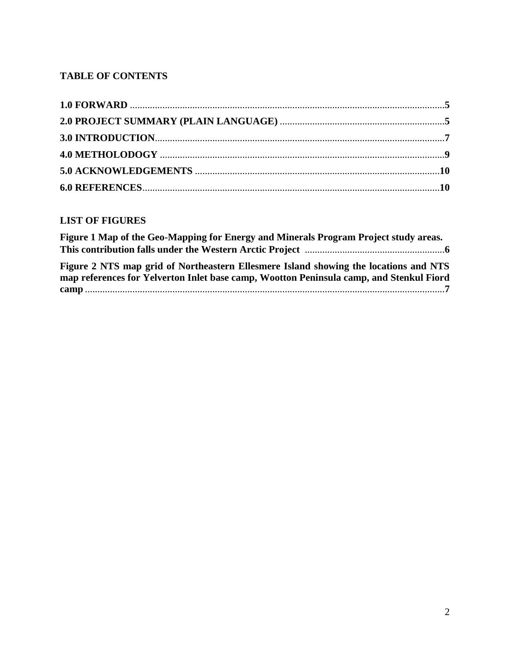# **TABLE OF CONTENTS**

## **LIST OF FIGURES**

| Figure 1 Map of the Geo-Mapping for Energy and Minerals Program Project study areas.    |  |
|-----------------------------------------------------------------------------------------|--|
|                                                                                         |  |
| Figure 2 NTS map grid of Northeastern Ellesmere Island showing the locations and NTS    |  |
| map references for Yelverton Inlet base camp, Wootton Peninsula camp, and Stenkul Fiord |  |
|                                                                                         |  |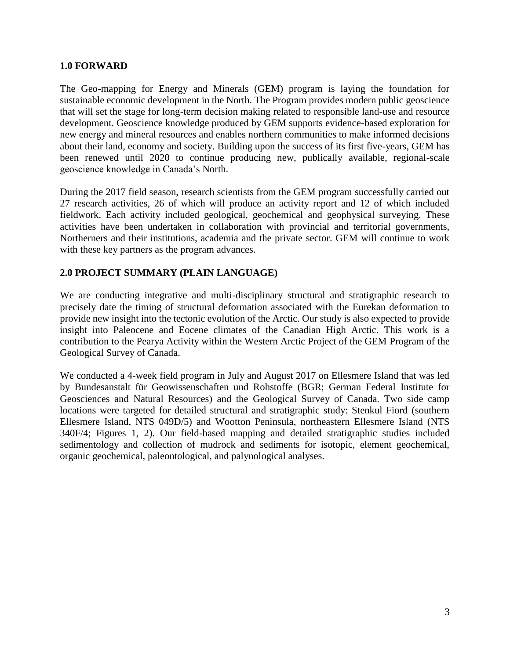## **1.0 FORWARD**

The Geo-mapping for Energy and Minerals (GEM) program is laying the foundation for sustainable economic development in the North. The Program provides modern public geoscience that will set the stage for long-term decision making related to responsible land-use and resource development. Geoscience knowledge produced by GEM supports evidence-based exploration for new energy and mineral resources and enables northern communities to make informed decisions about their land, economy and society. Building upon the success of its first five-years, GEM has been renewed until 2020 to continue producing new, publically available, regional-scale geoscience knowledge in Canada's North.

During the 2017 field season, research scientists from the GEM program successfully carried out 27 research activities, 26 of which will produce an activity report and 12 of which included fieldwork. Each activity included geological, geochemical and geophysical surveying. These activities have been undertaken in collaboration with provincial and territorial governments, Northerners and their institutions, academia and the private sector. GEM will continue to work with these key partners as the program advances.

## **2.0 PROJECT SUMMARY (PLAIN LANGUAGE)**

We are conducting integrative and multi-disciplinary structural and stratigraphic research to precisely date the timing of structural deformation associated with the Eurekan deformation to provide new insight into the tectonic evolution of the Arctic. Our study is also expected to provide insight into Paleocene and Eocene climates of the Canadian High Arctic. This work is a contribution to the Pearya Activity within the Western Arctic Project of the GEM Program of the Geological Survey of Canada.

We conducted a 4-week field program in July and August 2017 on Ellesmere Island that was led by Bundesanstalt für Geowissenschaften und Rohstoffe (BGR; German Federal Institute for Geosciences and Natural Resources) and the Geological Survey of Canada. Two side camp locations were targeted for detailed structural and stratigraphic study: Stenkul Fiord (southern Ellesmere Island, NTS 049D/5) and Wootton Peninsula, northeastern Ellesmere Island (NTS 340F/4; Figures 1, 2). Our field-based mapping and detailed stratigraphic studies included sedimentology and collection of mudrock and sediments for isotopic, element geochemical, organic geochemical, paleontological, and palynological analyses.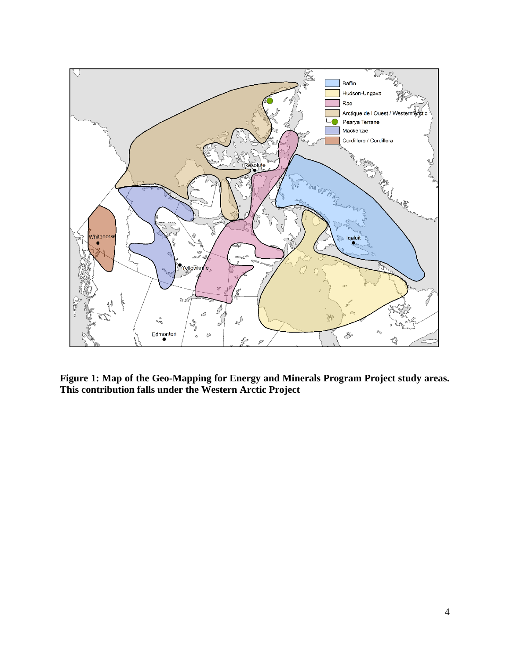

**Figure 1: Map of the Geo-Mapping for Energy and Minerals Program Project study areas. This contribution falls under the Western Arctic Project**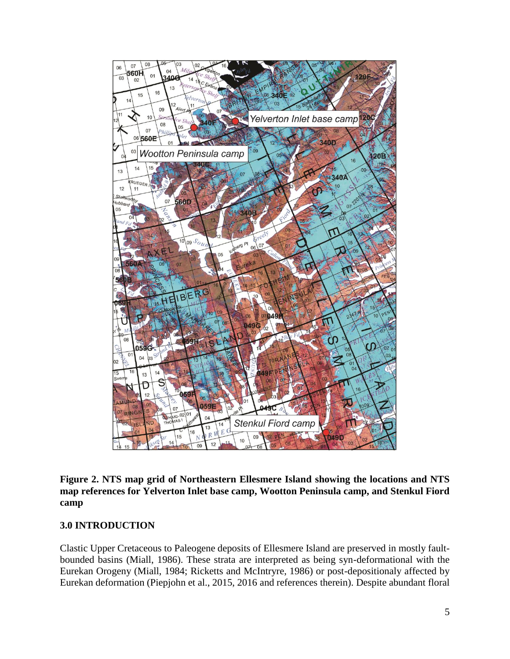

**Figure 2. NTS map grid of Northeastern Ellesmere Island showing the locations and NTS map references for Yelverton Inlet base camp, Wootton Peninsula camp, and Stenkul Fiord camp**

### **3.0 INTRODUCTION**

Clastic Upper Cretaceous to Paleogene deposits of Ellesmere Island are preserved in mostly faultbounded basins (Miall, 1986). These strata are interpreted as being syn-deformational with the Eurekan Orogeny (Miall, 1984; Ricketts and McIntryre, 1986) or post-depositionaly affected by Eurekan deformation (Piepjohn et al., 2015, 2016 and references therein). Despite abundant floral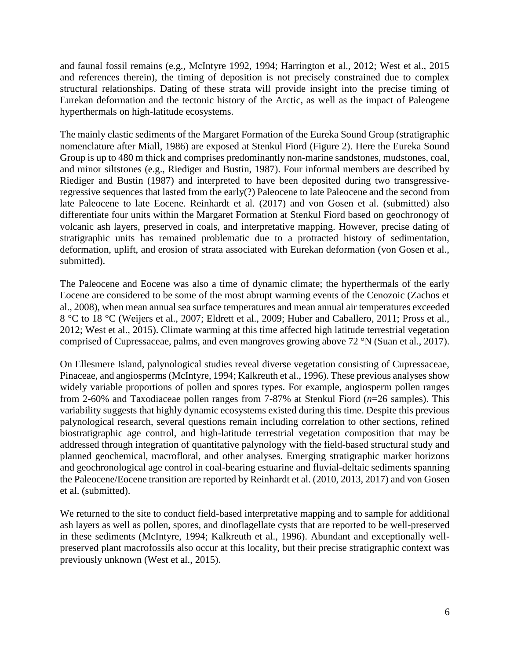and faunal fossil remains (e.g., McIntyre 1992, 1994; Harrington et al., 2012; West et al., 2015 and references therein), the timing of deposition is not precisely constrained due to complex structural relationships. Dating of these strata will provide insight into the precise timing of Eurekan deformation and the tectonic history of the Arctic, as well as the impact of Paleogene hyperthermals on high-latitude ecosystems.

The mainly clastic sediments of the Margaret Formation of the Eureka Sound Group (stratigraphic nomenclature after Miall, 1986) are exposed at Stenkul Fiord (Figure 2). Here the Eureka Sound Group is up to 480 m thick and comprises predominantly non-marine sandstones, mudstones, coal, and minor siltstones (e.g., Riediger and Bustin, 1987). Four informal members are described by Riediger and Bustin (1987) and interpreted to have been deposited during two transgressiveregressive sequences that lasted from the early(?) Paleocene to late Paleocene and the second from late Paleocene to late Eocene. Reinhardt et al. (2017) and von Gosen et al. (submitted) also differentiate four units within the Margaret Formation at Stenkul Fiord based on geochronogy of volcanic ash layers, preserved in coals, and interpretative mapping. However, precise dating of stratigraphic units has remained problematic due to a protracted history of sedimentation, deformation, uplift, and erosion of strata associated with Eurekan deformation (von Gosen et al., submitted).

The Paleocene and Eocene was also a time of dynamic climate; the hyperthermals of the early Eocene are considered to be some of the most abrupt warming events of the Cenozoic (Zachos et al., 2008), when mean annual sea surface temperatures and mean annual air temperatures exceeded 8 °C to 18 °C (Weijers et al., 2007; Eldrett et al., 2009; Huber and Caballero, 2011; Pross et al., 2012; West et al., 2015). Climate warming at this time affected high latitude terrestrial vegetation comprised of Cupressaceae, palms, and even mangroves growing above 72 °N (Suan et al., 2017).

On Ellesmere Island, palynological studies reveal diverse vegetation consisting of Cupressaceae, Pinaceae, and angiosperms (McIntyre, 1994; Kalkreuth et al., 1996). These previous analyses show widely variable proportions of pollen and spores types. For example, angiosperm pollen ranges from 2-60% and Taxodiaceae pollen ranges from 7-87% at Stenkul Fiord (*n*=26 samples). This variability suggests that highly dynamic ecosystems existed during this time. Despite this previous palynological research, several questions remain including correlation to other sections, refined biostratigraphic age control, and high-latitude terrestrial vegetation composition that may be addressed through integration of quantitative palynology with the field-based structural study and planned geochemical, macrofloral, and other analyses. Emerging stratigraphic marker horizons and geochronological age control in coal-bearing estuarine and fluvial-deltaic sediments spanning the Paleocene/Eocene transition are reported by Reinhardt et al. (2010, 2013, 2017) and von Gosen et al. (submitted).

We returned to the site to conduct field-based interpretative mapping and to sample for additional ash layers as well as pollen, spores, and dinoflagellate cysts that are reported to be well-preserved in these sediments (McIntyre, 1994; Kalkreuth et al., 1996). Abundant and exceptionally wellpreserved plant macrofossils also occur at this locality, but their precise stratigraphic context was previously unknown (West et al., 2015).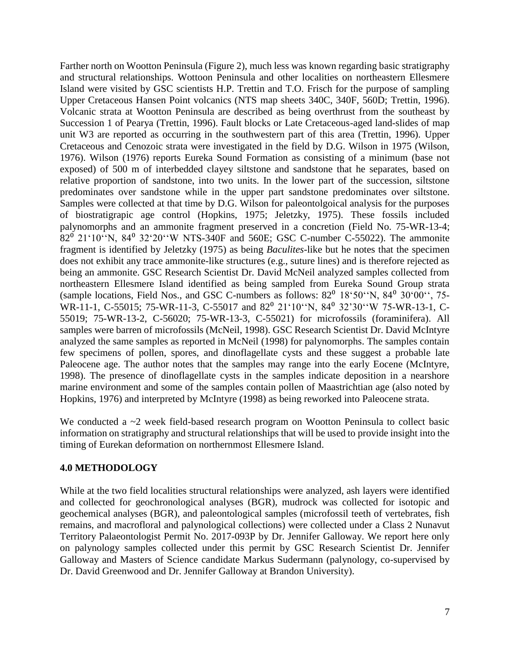Farther north on Wootton Peninsula (Figure 2), much less was known regarding basic stratigraphy and structural relationships. Wottoon Peninsula and other localities on northeastern Ellesmere Island were visited by GSC scientists H.P. Trettin and T.O. Frisch for the purpose of sampling Upper Cretaceous Hansen Point volcanics (NTS map sheets 340C, 340F, 560D; Trettin, 1996). Volcanic strata at Wootton Peninsula are described as being overthrust from the southeast by Succession 1 of Pearya (Trettin, 1996). Fault blocks or Late Cretaceous-aged land-slides of map unit W3 are reported as occurring in the southwestern part of this area (Trettin, 1996). Upper Cretaceous and Cenozoic strata were investigated in the field by D.G. Wilson in 1975 (Wilson, 1976). Wilson (1976) reports Eureka Sound Formation as consisting of a minimum (base not exposed) of 500 m of interbedded clayey siltstone and sandstone that he separates, based on relative proportion of sandstone, into two units. In the lower part of the succession, siltstone predominates over sandstone while in the upper part sandstone predominates over siltstone. Samples were collected at that time by D.G. Wilson for paleontolgoical analysis for the purposes of biostratigrapic age control (Hopkins, 1975; Jeletzky, 1975). These fossils included palynomorphs and an ammonite fragment preserved in a concretion (Field No. 75-WR-13-4;  $82^{\circ}$  21'10"N,  $84^{\circ}$  32'20"W NTS-340F and 560E; GSC C-number C-55022). The ammonite fragment is identified by Jeletzky (1975) as being *Baculites*-like but he notes that the specimen does not exhibit any trace ammonite-like structures (e.g., suture lines) and is therefore rejected as being an ammonite. GSC Research Scientist Dr. David McNeil analyzed samples collected from northeastern Ellesmere Island identified as being sampled from Eureka Sound Group strata (sample locations, Field Nos., and GSC C-numbers as follows:  $82^{\circ}$  18'50"N,  $84^{\circ}$  30'00", 75-WR-11-1, C-55015; 75-WR-11-3, C-55017 and 82<sup>0</sup> 21'10"N, 84<sup>0</sup> 32'30"W 75-WR-13-1, C-55019; 75-WR-13-2, C-56020; 75-WR-13-3, C-55021) for microfossils (foraminifera). All samples were barren of microfossils (McNeil, 1998). GSC Research Scientist Dr. David McIntyre analyzed the same samples as reported in McNeil (1998) for palynomorphs. The samples contain few specimens of pollen, spores, and dinoflagellate cysts and these suggest a probable late Paleocene age. The author notes that the samples may range into the early Eocene (McIntyre, 1998). The presence of dinoflagellate cysts in the samples indicate deposition in a nearshore marine environment and some of the samples contain pollen of Maastrichtian age (also noted by Hopkins, 1976) and interpreted by McIntyre (1998) as being reworked into Paleocene strata.

We conducted a  $\sim$ 2 week field-based research program on Wootton Peninsula to collect basic information on stratigraphy and structural relationships that will be used to provide insight into the timing of Eurekan deformation on northernmost Ellesmere Island.

## **4.0 METHODOLOGY**

While at the two field localities structural relationships were analyzed, ash layers were identified and collected for geochronological analyses (BGR), mudrock was collected for isotopic and geochemical analyses (BGR), and paleontological samples (microfossil teeth of vertebrates, fish remains, and macrofloral and palynological collections) were collected under a Class 2 Nunavut Territory Palaeontologist Permit No. 2017-093P by Dr. Jennifer Galloway. We report here only on palynology samples collected under this permit by GSC Research Scientist Dr. Jennifer Galloway and Masters of Science candidate Markus Sudermann (palynology, co-supervised by Dr. David Greenwood and Dr. Jennifer Galloway at Brandon University).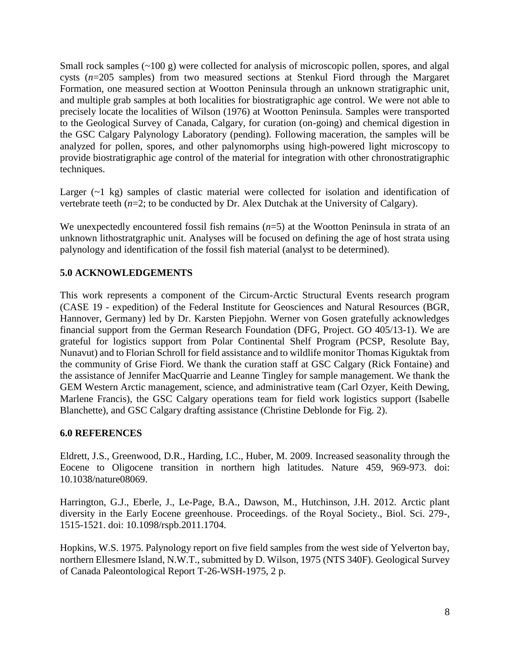Small rock samples (~100 g) were collected for analysis of microscopic pollen, spores, and algal cysts (*n*=205 samples) from two measured sections at Stenkul Fiord through the Margaret Formation, one measured section at Wootton Peninsula through an unknown stratigraphic unit, and multiple grab samples at both localities for biostratigraphic age control. We were not able to precisely locate the localities of Wilson (1976) at Wootton Peninsula. Samples were transported to the Geological Survey of Canada, Calgary, for curation (on-going) and chemical digestion in the GSC Calgary Palynology Laboratory (pending). Following maceration, the samples will be analyzed for pollen, spores, and other palynomorphs using high-powered light microscopy to provide biostratigraphic age control of the material for integration with other chronostratigraphic techniques.

Larger (~1 kg) samples of clastic material were collected for isolation and identification of vertebrate teeth (*n*=2; to be conducted by Dr. Alex Dutchak at the University of Calgary).

We unexpectedly encountered fossil fish remains ( $n=5$ ) at the Wootton Peninsula in strata of an unknown lithostratgraphic unit. Analyses will be focused on defining the age of host strata using palynology and identification of the fossil fish material (analyst to be determined).

## **5.0 ACKNOWLEDGEMENTS**

This work represents a component of the Circum-Arctic Structural Events research program (CASE 19 - expedition) of the Federal Institute for Geosciences and Natural Resources (BGR, Hannover, Germany) led by Dr. Karsten Piepjohn. Werner von Gosen gratefully acknowledges financial support from the German Research Foundation (DFG, Project. GO 405/13-1). We are grateful for logistics support from Polar Continental Shelf Program (PCSP, Resolute Bay, Nunavut) and to Florian Schroll for field assistance and to wildlife monitor Thomas Kiguktak from the community of Grise Fiord. We thank the curation staff at GSC Calgary (Rick Fontaine) and the assistance of Jennifer MacQuarrie and Leanne Tingley for sample management. We thank the GEM Western Arctic management, science, and administrative team (Carl Ozyer, Keith Dewing, Marlene Francis), the GSC Calgary operations team for field work logistics support (Isabelle Blanchette), and GSC Calgary drafting assistance (Christine Deblonde for Fig. 2).

### **6.0 REFERENCES**

Eldrett, J.S., Greenwood, D.R., Harding, I.C., Huber, M. 2009. Increased seasonality through the Eocene to Oligocene transition in northern high latitudes. Nature 459, 969-973. doi: 10.1038/nature08069.

Harrington, G.J., Eberle, J., Le-Page, B.A., Dawson, M., Hutchinson, J.H. 2012. Arctic plant diversity in the Early Eocene greenhouse. Proceedings. of the Royal Society., Biol. Sci. 279-, 1515-1521. doi: 10.1098/rspb.2011.1704.

Hopkins, W.S. 1975. Palynology report on five field samples from the west side of Yelverton bay, northern Ellesmere Island, N.W.T., submitted by D. Wilson, 1975 (NTS 340F). Geological Survey of Canada Paleontological Report T-26-WSH-1975, 2 p.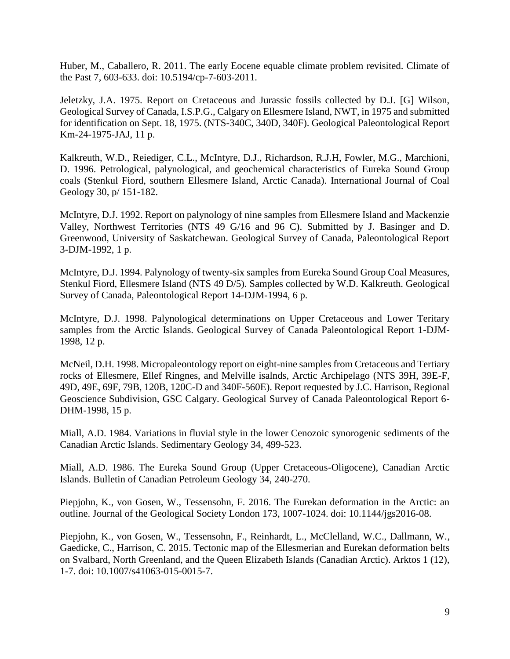Huber, M., Caballero, R. 2011. The early Eocene equable climate problem revisited. Climate of the Past 7, 603-633. doi: 10.5194/cp-7-603-2011.

Jeletzky, J.A. 1975. Report on Cretaceous and Jurassic fossils collected by D.J. [G] Wilson, Geological Survey of Canada, I.S.P.G., Calgary on Ellesmere Island, NWT, in 1975 and submitted for identification on Sept. 18, 1975. (NTS-340C, 340D, 340F). Geological Paleontological Report Km-24-1975-JAJ, 11 p.

Kalkreuth, W.D., Reiediger, C.L., McIntyre, D.J., Richardson, R.J.H, Fowler, M.G., Marchioni, D. 1996. Petrological, palynological, and geochemical characteristics of Eureka Sound Group coals (Stenkul Fiord, southern Ellesmere Island, Arctic Canada). International Journal of Coal Geology 30, p/ 151-182.

McIntyre, D.J. 1992. Report on palynology of nine samples from Ellesmere Island and Mackenzie Valley, Northwest Territories (NTS 49 G/16 and 96 C). Submitted by J. Basinger and D. Greenwood, University of Saskatchewan. Geological Survey of Canada, Paleontological Report 3-DJM-1992, 1 p.

McIntyre, D.J. 1994. Palynology of twenty-six samples from Eureka Sound Group Coal Measures, Stenkul Fiord, Ellesmere Island (NTS 49 D/5). Samples collected by W.D. Kalkreuth. Geological Survey of Canada, Paleontological Report 14-DJM-1994, 6 p.

McIntyre, D.J. 1998. Palynological determinations on Upper Cretaceous and Lower Teritary samples from the Arctic Islands. Geological Survey of Canada Paleontological Report 1-DJM-1998, 12 p.

McNeil, D.H. 1998. Micropaleontology report on eight-nine samples from Cretaceous and Tertiary rocks of Ellesmere, Ellef Ringnes, and Melville isalnds, Arctic Archipelago (NTS 39H, 39E-F, 49D, 49E, 69F, 79B, 120B, 120C-D and 340F-560E). Report requested by J.C. Harrison, Regional Geoscience Subdivision, GSC Calgary. Geological Survey of Canada Paleontological Report 6- DHM-1998, 15 p.

Miall, A.D. 1984. Variations in fluvial style in the lower Cenozoic synorogenic sediments of the Canadian Arctic Islands. Sedimentary Geology 34, 499-523.

Miall, A.D. 1986. The Eureka Sound Group (Upper Cretaceous-Oligocene), Canadian Arctic Islands. Bulletin of Canadian Petroleum Geology 34, 240-270.

Piepjohn, K., von Gosen, W., Tessensohn, F. 2016. The Eurekan deformation in the Arctic: an outline. Journal of the Geological Society London 173, 1007-1024. doi: 10.1144/jgs2016-08.

Piepjohn, K., von Gosen, W., Tessensohn, F., Reinhardt, L., McClelland, W.C., Dallmann, W., Gaedicke, C., Harrison, C. 2015. Tectonic map of the Ellesmerian and Eurekan deformation belts on Svalbard, North Greenland, and the Queen Elizabeth Islands (Canadian Arctic). Arktos 1 (12), 1-7. doi: 10.1007/s41063-015-0015-7.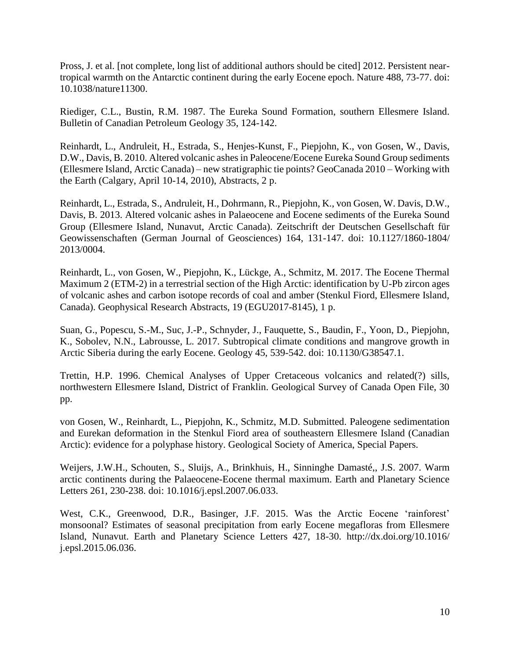Pross, J. et al. [not complete, long list of additional authors should be cited] 2012. Persistent neartropical warmth on the Antarctic continent during the early Eocene epoch. Nature 488, 73-77. doi: 10.1038/nature11300.

Riediger, C.L., Bustin, R.M. 1987. The Eureka Sound Formation, southern Ellesmere Island. Bulletin of Canadian Petroleum Geology 35, 124-142.

Reinhardt, L., Andruleit, H., Estrada, S., Henjes-Kunst, F., Piepjohn, K., von Gosen, W., Davis, D.W., Davis, B. 2010. Altered volcanic ashes in Paleocene/Eocene Eureka Sound Group sediments (Ellesmere Island, Arctic Canada) – new stratigraphic tie points? GeoCanada 2010 – Working with the Earth (Calgary, April 10-14, 2010), Abstracts, 2 p.

Reinhardt, L., Estrada, S., Andruleit, H., Dohrmann, R., Piepjohn, K., von Gosen, W. Davis, D.W., Davis, B. 2013. Altered volcanic ashes in Palaeocene and Eocene sediments of the Eureka Sound Group (Ellesmere Island, Nunavut, Arctic Canada). Zeitschrift der Deutschen Gesellschaft für Geowissenschaften (German Journal of Geosciences) 164, 131-147. doi: 10.1127/1860-1804/ 2013/0004.

Reinhardt, L., von Gosen, W., Piepjohn, K., Lückge, A., Schmitz, M. 2017. The Eocene Thermal Maximum 2 (ETM-2) in a terrestrial section of the High Arctic: identification by U-Pb zircon ages of volcanic ashes and carbon isotope records of coal and amber (Stenkul Fiord, Ellesmere Island, Canada). Geophysical Research Abstracts, 19 (EGU2017-8145), 1 p.

Suan, G., Popescu, S.-M., Suc, J.-P., Schnyder, J., Fauquette, S., Baudin, F., Yoon, D., Piepjohn, K., Sobolev, N.N., Labrousse, L. 2017. Subtropical climate conditions and mangrove growth in Arctic Siberia during the early Eocene. Geology 45, 539-542. doi: 10.1130/G38547.1.

Trettin, H.P. 1996. Chemical Analyses of Upper Cretaceous volcanics and related(?) sills, northwestern Ellesmere Island, District of Franklin. Geological Survey of Canada Open File, 30 pp.

von Gosen, W., Reinhardt, L., Piepjohn, K., Schmitz, M.D. Submitted. Paleogene sedimentation and Eurekan deformation in the Stenkul Fiord area of southeastern Ellesmere Island (Canadian Arctic): evidence for a polyphase history. Geological Society of America, Special Papers.

Weijers, J.W.H., Schouten, S., Sluijs, A., Brinkhuis, H., Sinninghe Damasté,, J.S. 2007. Warm arctic continents during the Palaeocene-Eocene thermal maximum. Earth and Planetary Science Letters 261, 230-238. doi: 10.1016/j.epsl.2007.06.033.

West, C.K., Greenwood, D.R., Basinger, J.F. 2015. Was the Arctic Eocene 'rainforest' monsoonal? Estimates of seasonal precipitation from early Eocene megafloras from Ellesmere Island, Nunavut. Earth and Planetary Science Letters 427, 18-30. http://dx.doi.org/10.1016/ j.epsl.2015.06.036.